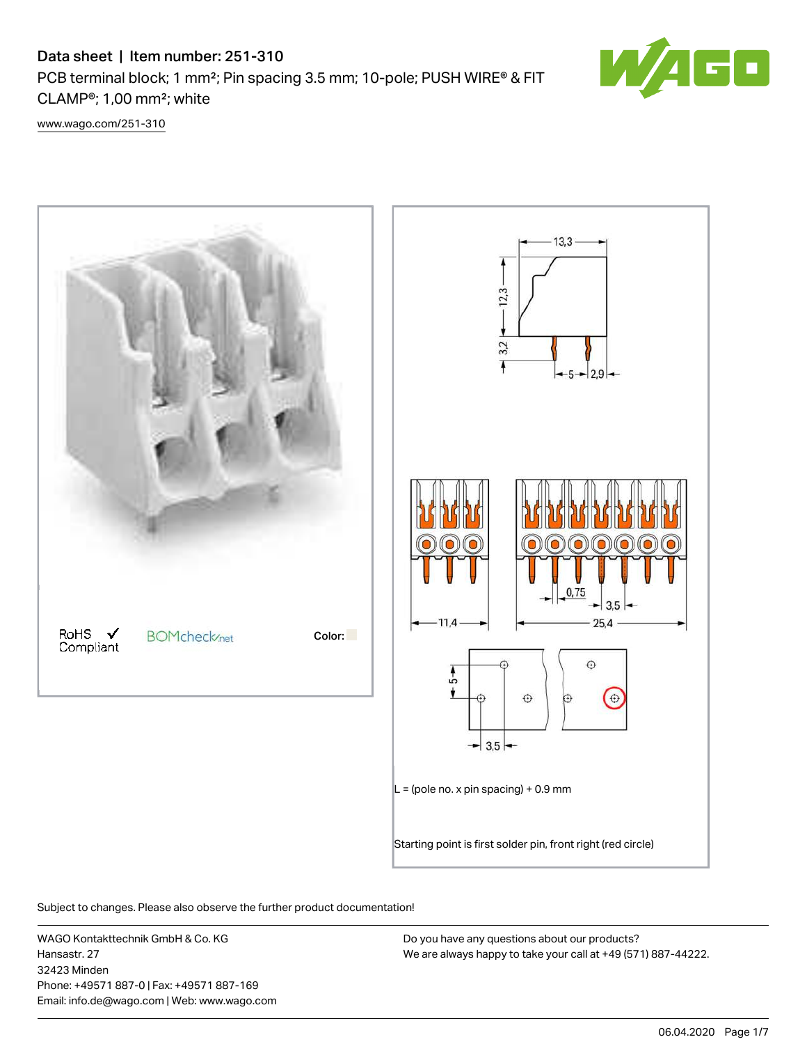# Data sheet | Item number: 251-310 PCB terminal block; 1 mm<sup>2</sup>; Pin spacing 3.5 mm; 10-pole; PUSH WIRE® & FIT CLAMP®; 1,00 mm²; white

[www.wago.com/251-310](http://www.wago.com/251-310)



Subject to changes. Please also observe the further product documentation!

WAGO Kontakttechnik GmbH & Co. KG Hansastr. 27 32423 Minden Phone: +49571 887-0 | Fax: +49571 887-169 Email: info.de@wago.com | Web: www.wago.com

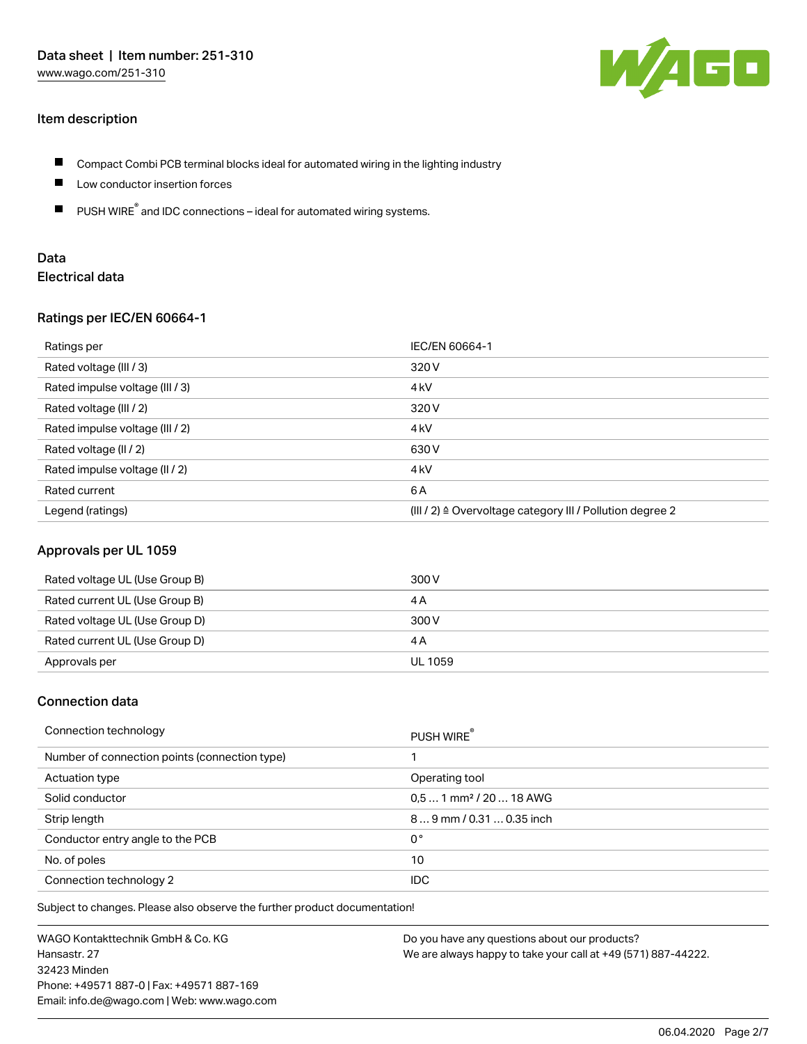### Item description



- П Compact Combi PCB terminal blocks ideal for automated wiring in the lighting industry
- $\blacksquare$ Low conductor insertion forces
- $\blacksquare$ PUSH WIRE<sup>®</sup> and IDC connections – ideal for automated wiring systems.

## Data Electrical data

### Ratings per IEC/EN 60664-1

| Ratings per                     | IEC/EN 60664-1                                                       |
|---------------------------------|----------------------------------------------------------------------|
| Rated voltage (III / 3)         | 320 V                                                                |
| Rated impulse voltage (III / 3) | 4 <sub>k</sub> V                                                     |
| Rated voltage (III / 2)         | 320 V                                                                |
| Rated impulse voltage (III / 2) | 4 <sub>k</sub> V                                                     |
| Rated voltage (II / 2)          | 630 V                                                                |
| Rated impulse voltage (II / 2)  | 4 <sub>kV</sub>                                                      |
| Rated current                   | 6 A                                                                  |
| Legend (ratings)                | (III / 2) $\triangleq$ Overvoltage category III / Pollution degree 2 |

### Approvals per UL 1059

| Rated voltage UL (Use Group B) | 300 V   |
|--------------------------------|---------|
| Rated current UL (Use Group B) | 4 A     |
| Rated voltage UL (Use Group D) | 300 V   |
| Rated current UL (Use Group D) | 4 A     |
| Approvals per                  | UL 1059 |

### Connection data

| Connection technology                         | PUSH WIRE                           |
|-----------------------------------------------|-------------------------------------|
| Number of connection points (connection type) |                                     |
| Actuation type                                | Operating tool                      |
| Solid conductor                               | $0,51$ mm <sup>2</sup> / 20  18 AWG |
| Strip length                                  | 89 mm / 0.31  0.35 inch             |
| Conductor entry angle to the PCB              | 0°                                  |
| No. of poles                                  | 10                                  |
| Connection technology 2                       | IDC.                                |

Subject to changes. Please also observe the further product documentation!

WAGO Kontakttechnik GmbH & Co. KG Hansastr. 27 32423 Minden Phone: +49571 887-0 | Fax: +49571 887-169 Email: info.de@wago.com | Web: www.wago.com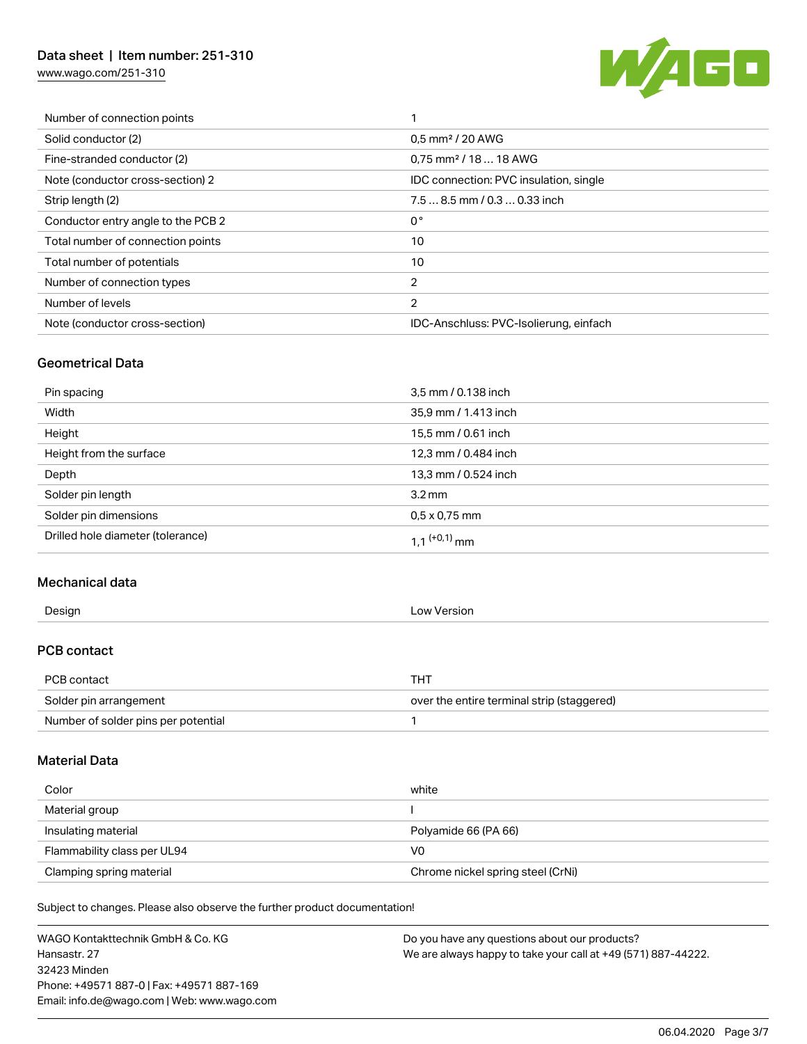## Data sheet | Item number: 251-310

[www.wago.com/251-310](http://www.wago.com/251-310)



| Number of connection points        |                                        |
|------------------------------------|----------------------------------------|
| Solid conductor (2)                | 0,5 mm <sup>2</sup> / 20 AWG           |
| Fine-stranded conductor (2)        | $0.75$ mm <sup>2</sup> / 18  18 AWG    |
| Note (conductor cross-section) 2   | IDC connection: PVC insulation, single |
| Strip length (2)                   | $7.58.5$ mm $/ 0.30.33$ inch           |
| Conductor entry angle to the PCB 2 | 0°                                     |
| Total number of connection points  | 10                                     |
| Total number of potentials         | 10                                     |
| Number of connection types         | $\overline{2}$                         |
| Number of levels                   | $\overline{2}$                         |
| Note (conductor cross-section)     | IDC-Anschluss: PVC-Isolierung, einfach |
|                                    |                                        |

### Geometrical Data

| Pin spacing                       | 3,5 mm / 0.138 inch        |
|-----------------------------------|----------------------------|
| Width                             | 35,9 mm / 1.413 inch       |
| Height                            | 15,5 mm / 0.61 inch        |
| Height from the surface           | 12,3 mm / 0.484 inch       |
| Depth                             | 13,3 mm / 0.524 inch       |
| Solder pin length                 | $3.2 \,\mathrm{mm}$        |
| Solder pin dimensions             | $0.5 \times 0.75$ mm       |
| Drilled hole diameter (tolerance) | $1,1$ <sup>(+0,1)</sup> mm |

### Mechanical data

| Design             | Low Version |
|--------------------|-------------|
| <b>PCB contact</b> |             |
| PCB contact        | <b>THT</b>  |

| Solder pin arrangement              | over the entire terminal strip (staggered) |
|-------------------------------------|--------------------------------------------|
| Number of solder pins per potential |                                            |

### Material Data

| Color                       | white                             |
|-----------------------------|-----------------------------------|
| Material group              |                                   |
| Insulating material         | Polyamide 66 (PA 66)              |
| Flammability class per UL94 | V0                                |
| Clamping spring material    | Chrome nickel spring steel (CrNi) |

Subject to changes. Please also observe the further product documentation!

WAGO Kontakttechnik GmbH & Co. KG Hansastr. 27 32423 Minden Phone: +49571 887-0 | Fax: +49571 887-169 Email: info.de@wago.com | Web: www.wago.com Do you have any questions about our products? We are always happy to take your call at +49 (571) 887-44222.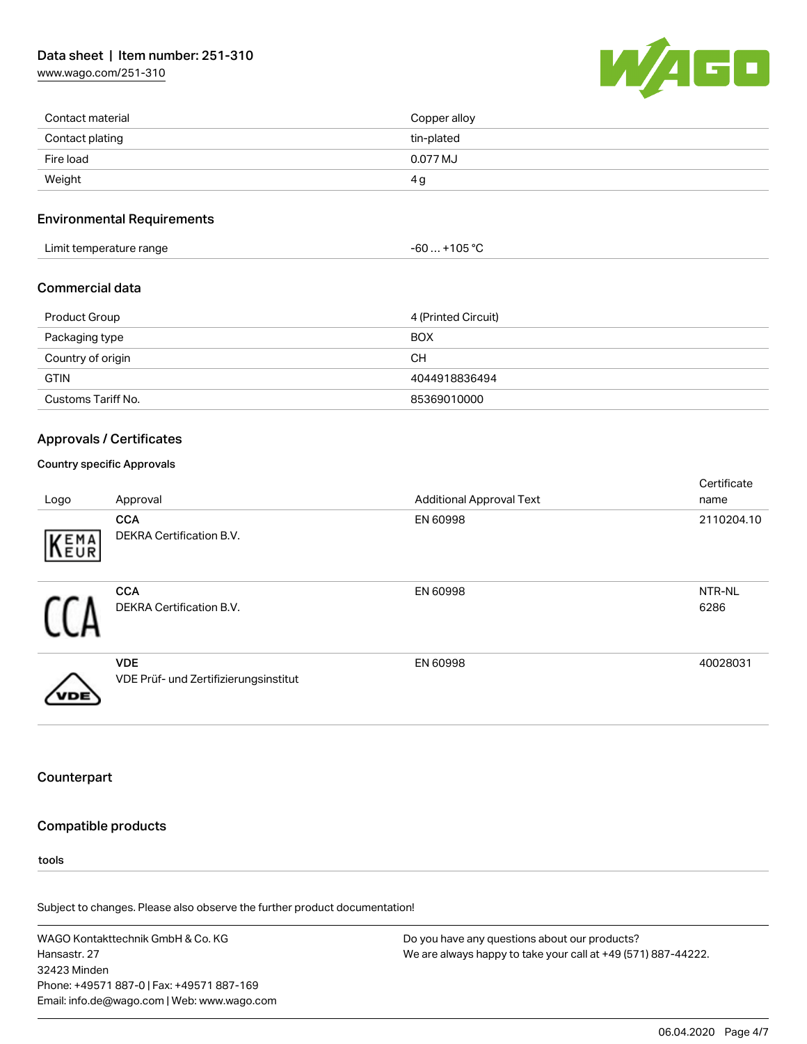## Data sheet | Item number: 251-310

[www.wago.com/251-310](http://www.wago.com/251-310)



| Contact material | Copper alloy |
|------------------|--------------|
| Contact plating  | tin-plated   |
| Fire load        | 0.077 MJ     |
| Weight           | 4 g          |

### Environmental Requirements

| $-60+105 °C$<br>Limit temperature range |  |
|-----------------------------------------|--|
|-----------------------------------------|--|

#### Commercial data

| Product Group      | 4 (Printed Circuit) |
|--------------------|---------------------|
| Packaging type     | <b>BOX</b>          |
| Country of origin  | CН                  |
| <b>GTIN</b>        | 4044918836494       |
| Customs Tariff No. | 85369010000         |

#### Approvals / Certificates

### Country specific Approvals

| Logo         | Approval                                            | <b>Additional Approval Text</b> | Certificate<br>name |
|--------------|-----------------------------------------------------|---------------------------------|---------------------|
| KENA         | <b>CCA</b><br><b>DEKRA Certification B.V.</b>       | EN 60998                        | 2110204.10          |
| $\mathbf{I}$ | <b>CCA</b><br><b>DEKRA Certification B.V.</b>       | EN 60998                        | NTR-NL<br>6286      |
|              | <b>VDE</b><br>VDE Prüf- und Zertifizierungsinstitut | EN 60998                        | 40028031            |

### **Counterpart**

### Compatible products

tools

Subject to changes. Please also observe the further product documentation!

WAGO Kontakttechnik GmbH & Co. KG Hansastr. 27 32423 Minden Phone: +49571 887-0 | Fax: +49571 887-169 Email: info.de@wago.com | Web: www.wago.com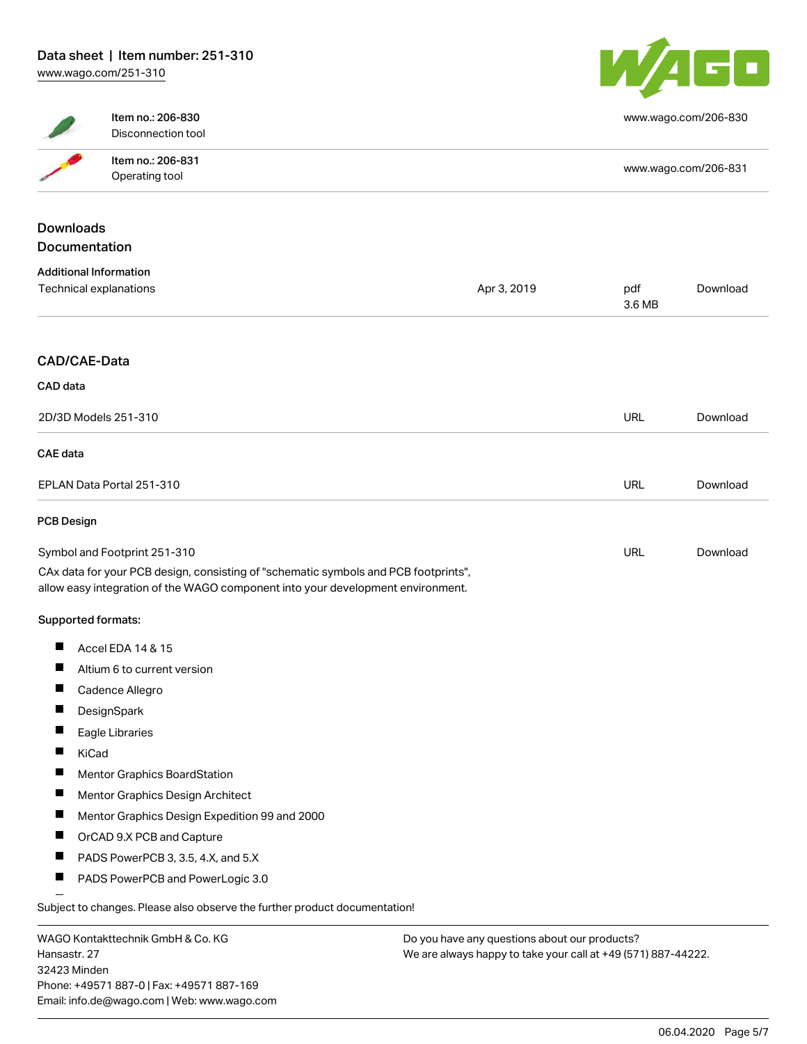

|                               | Item no.: 206-830<br>Disconnection tool                                                                                                                                |             |                      | www.wago.com/206-830 |
|-------------------------------|------------------------------------------------------------------------------------------------------------------------------------------------------------------------|-------------|----------------------|----------------------|
|                               | Item no.: 206-831                                                                                                                                                      |             |                      |                      |
|                               | Operating tool                                                                                                                                                         |             | www.wago.com/206-831 |                      |
|                               |                                                                                                                                                                        |             |                      |                      |
| <b>Downloads</b>              |                                                                                                                                                                        |             |                      |                      |
| Documentation                 |                                                                                                                                                                        |             |                      |                      |
| <b>Additional Information</b> |                                                                                                                                                                        |             |                      |                      |
|                               | Technical explanations                                                                                                                                                 | Apr 3, 2019 | pdf<br>3.6 MB        | Download             |
| CAD/CAE-Data                  |                                                                                                                                                                        |             |                      |                      |
| CAD data                      |                                                                                                                                                                        |             |                      |                      |
| 2D/3D Models 251-310          |                                                                                                                                                                        |             | URL                  | Download             |
| <b>CAE</b> data               |                                                                                                                                                                        |             |                      |                      |
| EPLAN Data Portal 251-310     |                                                                                                                                                                        | URL         | Download             |                      |
| PCB Design                    |                                                                                                                                                                        |             |                      |                      |
| Symbol and Footprint 251-310  |                                                                                                                                                                        | <b>URL</b>  | Download             |                      |
|                               | CAx data for your PCB design, consisting of "schematic symbols and PCB footprints",<br>allow easy integration of the WAGO component into your development environment. |             |                      |                      |
| Supported formats:            |                                                                                                                                                                        |             |                      |                      |
|                               | Accel EDA 14 & 15                                                                                                                                                      |             |                      |                      |
|                               | Altium 6 to current version                                                                                                                                            |             |                      |                      |
|                               | Cadence Allegro                                                                                                                                                        |             |                      |                      |
|                               | DesignSpark                                                                                                                                                            |             |                      |                      |
|                               | Eagle Libraries                                                                                                                                                        |             |                      |                      |
| KiCad                         |                                                                                                                                                                        |             |                      |                      |
|                               | Mentor Graphics BoardStation                                                                                                                                           |             |                      |                      |
| Ш                             | Mentor Graphics Design Architect                                                                                                                                       |             |                      |                      |
| $\blacksquare$                | Mentor Graphics Design Expedition 99 and 2000                                                                                                                          |             |                      |                      |
|                               | OrCAD 9.X PCB and Capture                                                                                                                                              |             |                      |                      |
|                               | PADS PowerPCB 3, 3.5, 4.X, and 5.X                                                                                                                                     |             |                      |                      |
| $\blacksquare$                | PADS PowerPCB and PowerLogic 3.0                                                                                                                                       |             |                      |                      |
|                               |                                                                                                                                                                        |             |                      |                      |
|                               | Subject to changes. Please also observe the further product documentation!                                                                                             |             |                      |                      |

WAGO Kontakttechnik GmbH & Co. KG Hansastr. 27 32423 Minden Phone: +49571 887-0 | Fax: +49571 887-169 Email: info.de@wago.com | Web: www.wago.com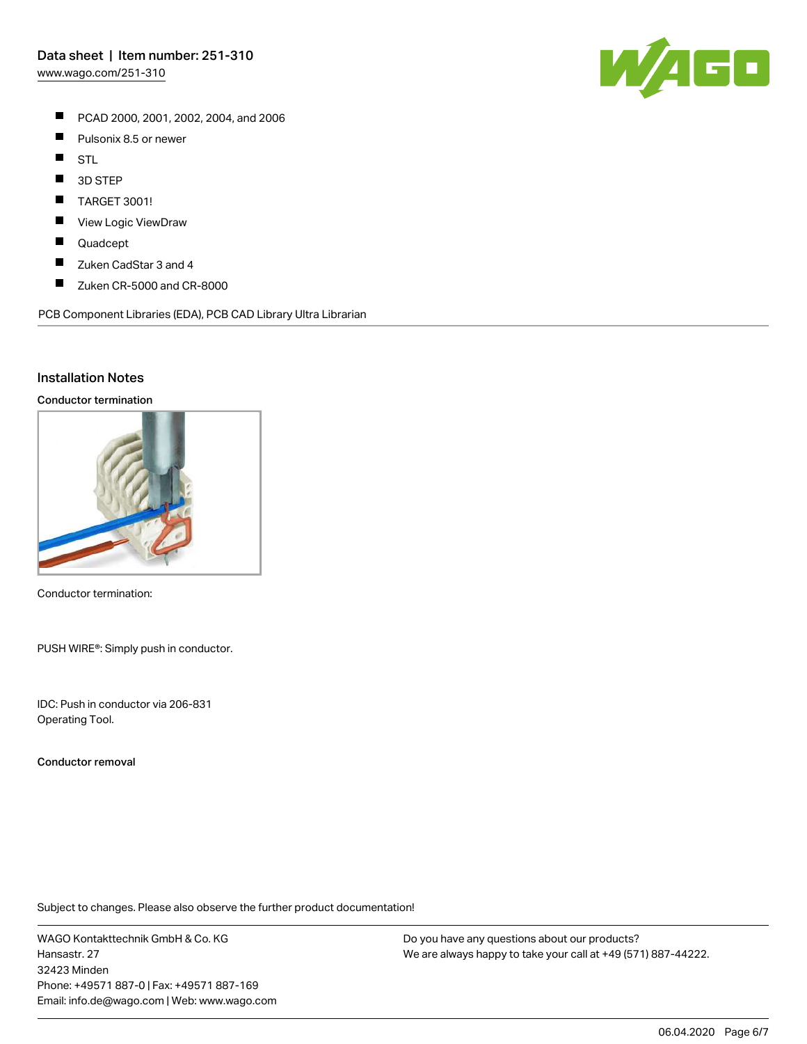[www.wago.com/251-310](http://www.wago.com/251-310)

- PCAD 2000, 2001, 2002, 2004, and 2006
- $\blacksquare$ Pulsonix 8.5 or newer
- $\blacksquare$ STL
- $\blacksquare$ 3D STEP
- П TARGET 3001!
- П View Logic ViewDraw
- $\blacksquare$ Quadcept
- $\blacksquare$ Zuken CadStar 3 and 4
- $\blacksquare$ Zuken CR-5000 and CR-8000

PCB Component Libraries (EDA), PCB CAD Library Ultra Librarian

### Installation Notes

#### Conductor termination



Conductor termination:

PUSH WIRE®: Simply push in conductor.

IDC: Push in conductor via 206-831 Operating Tool.

Conductor removal

Subject to changes. Please also observe the further product documentation!

WAGO Kontakttechnik GmbH & Co. KG Hansastr. 27 32423 Minden Phone: +49571 887-0 | Fax: +49571 887-169 Email: info.de@wago.com | Web: www.wago.com